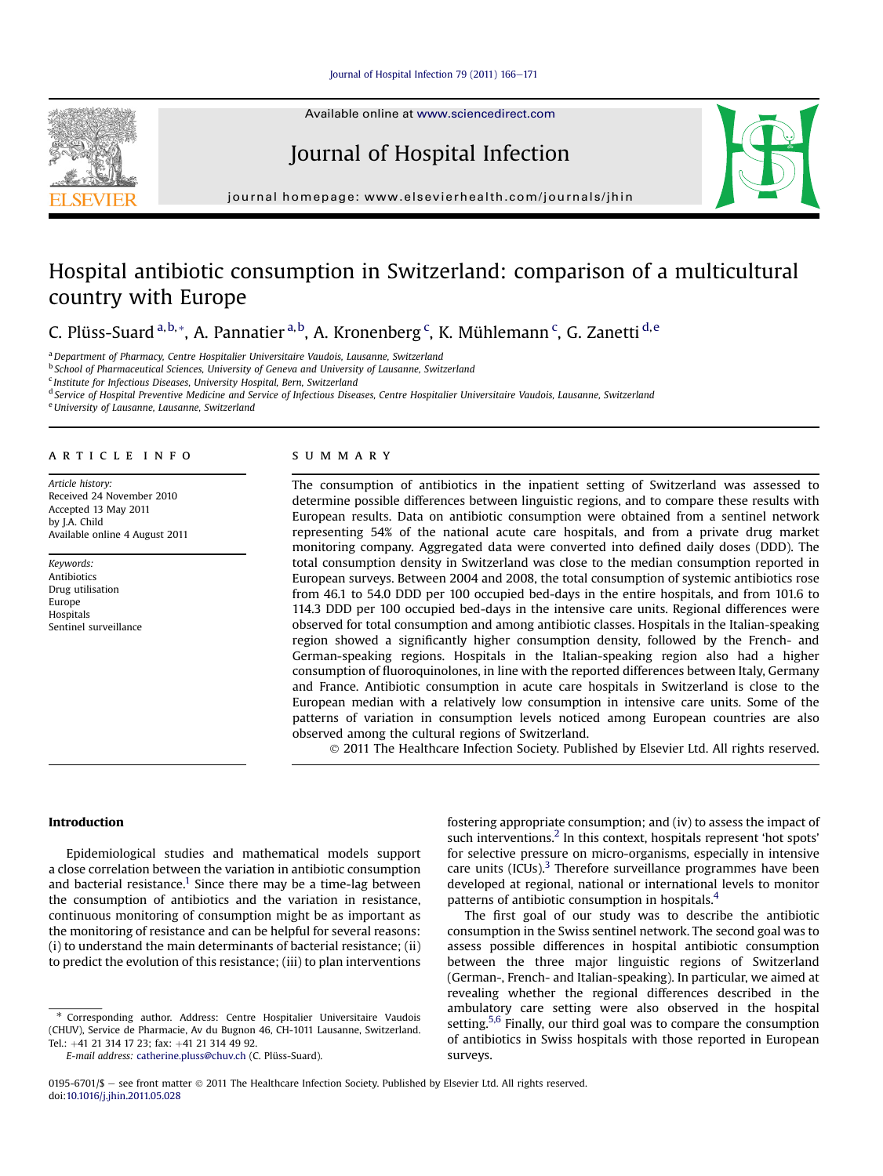Available online at [www.sciencedirect.com](www.sciencedirect.com/science/journal/01956701)







journal homepage: [www.elsevierhealth.com/journals/jhin](http://www.elsevierhealth.com/journals/jhin)

# Hospital antibiotic consumption in Switzerland: comparison of a multicultural country with Europe

C. Plüss-Suard <sup>a, b,</sup> \*, A. Pannatier <sup>a, b</sup>, A. Kronenberg <sup>c</sup>, K. Mühlemann <sup>c</sup>, G. Zanetti <sup>d, e</sup>

<sup>a</sup> Department of Pharmacy, Centre Hospitalier Universitaire Vaudois, Lausanne, Switzerland

<sup>b</sup> School of Pharmaceutical Sciences, University of Geneva and University of Lausanne, Switzerland

<sup>c</sup> Institute for Infectious Diseases, University Hospital, Bern, Switzerland

<sup>d</sup> Service of Hospital Preventive Medicine and Service of Infectious Diseases, Centre Hospitalier Universitaire Vaudois, Lausanne, Switzerland

<sup>e</sup>University of Lausanne, Lausanne, Switzerland

## article info

Article history: Received 24 November 2010 Accepted 13 May 2011 by J.A. Child Available online 4 August 2011

Keywords: Antibiotics Drug utilisation Europe **Hospitals** Sentinel surveillance

## summary

The consumption of antibiotics in the inpatient setting of Switzerland was assessed to determine possible differences between linguistic regions, and to compare these results with European results. Data on antibiotic consumption were obtained from a sentinel network representing 54% of the national acute care hospitals, and from a private drug market monitoring company. Aggregated data were converted into defined daily doses (DDD). The total consumption density in Switzerland was close to the median consumption reported in European surveys. Between 2004 and 2008, the total consumption of systemic antibiotics rose from 46.1 to 54.0 DDD per 100 occupied bed-days in the entire hospitals, and from 101.6 to 114.3 DDD per 100 occupied bed-days in the intensive care units. Regional differences were observed for total consumption and among antibiotic classes. Hospitals in the Italian-speaking region showed a significantly higher consumption density, followed by the French- and German-speaking regions. Hospitals in the Italian-speaking region also had a higher consumption of fluoroquinolones, in line with the reported differences between Italy, Germany and France. Antibiotic consumption in acute care hospitals in Switzerland is close to the European median with a relatively low consumption in intensive care units. Some of the patterns of variation in consumption levels noticed among European countries are also observed among the cultural regions of Switzerland.

2011 The Healthcare Infection Society. Published by Elsevier Ltd. All rights reserved.

## Introduction

Epidemiological studies and mathematical models support a close correlation between the variation in antibiotic consumption and bacterial resistance.<sup>1</sup> Since there may be a time-lag between the consumption of antibiotics and the variation in resistance, continuous monitoring of consumption might be as important as the monitoring of resistance and can be helpful for several reasons: (i) to understand the main determinants of bacterial resistance; (ii) to predict the evolution of this resistance; (iii) to plan interventions fostering appropriate consumption; and (iv) to assess the impact of such interventions.<sup>[2](#page-4-0)</sup> In this context, hospitals represent 'hot spots' for selective pressure on micro-organisms, especially in intensive care units  $(ICUs)<sup>3</sup>$  $(ICUs)<sup>3</sup>$  $(ICUs)<sup>3</sup>$  Therefore surveillance programmes have been developed at regional, national or international levels to monitor patterns of antibiotic consumption in hospitals.<sup>[4](#page-4-0)</sup>

The first goal of our study was to describe the antibiotic consumption in the Swiss sentinel network. The second goal was to assess possible differences in hospital antibiotic consumption between the three major linguistic regions of Switzerland (German-, French- and Italian-speaking). In particular, we aimed at revealing whether the regional differences described in the ambulatory care setting were also observed in the hospital setting.<sup>[5,6](#page-4-0)</sup> Finally, our third goal was to compare the consumption of antibiotics in Swiss hospitals with those reported in European surveys.

<sup>\*</sup> Corresponding author. Address: Centre Hospitalier Universitaire Vaudois (CHUV), Service de Pharmacie, Av du Bugnon 46, CH-1011 Lausanne, Switzerland. Tel.: +41 21 314 17 23; fax: +41 21 314 49 92.

E-mail address: [catherine.pluss@chuv.ch](mailto:catherine.pluss@chuv.ch) (C. Plüss-Suard).

<sup>0195-6701/\$ -</sup> see front matter  $@$  2011 The Healthcare Infection Society. Published by Elsevier Ltd. All rights reserved. doi:[10.1016/j.jhin.2011.05.028](http://dx.doi.org/10.1016/j.jhin.2011.05.028)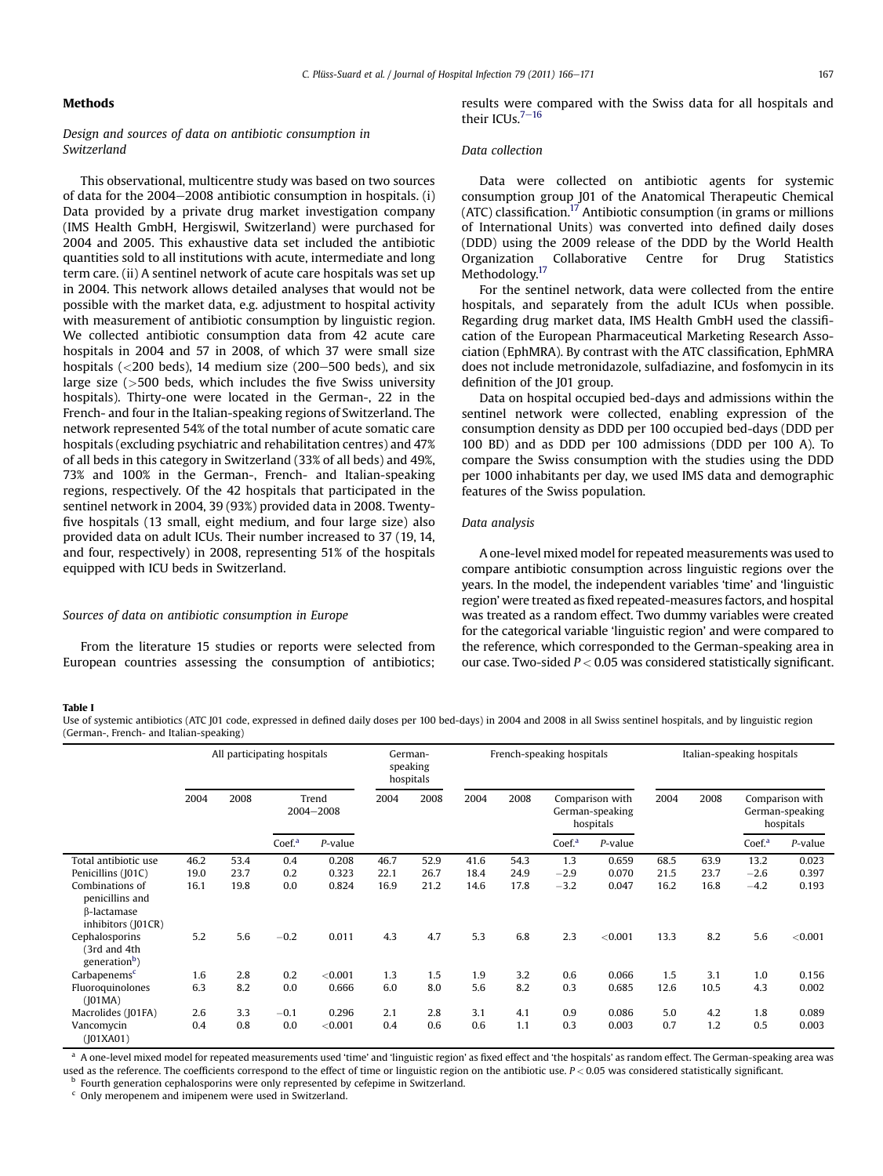#### <span id="page-1-0"></span>**Methods**

## Design and sources of data on antibiotic consumption in Switzerland

This observational, multicentre study was based on two sources of data for the  $2004-2008$  antibiotic consumption in hospitals. (i) Data provided by a private drug market investigation company (IMS Health GmbH, Hergiswil, Switzerland) were purchased for 2004 and 2005. This exhaustive data set included the antibiotic quantities sold to all institutions with acute, intermediate and long term care. (ii) A sentinel network of acute care hospitals was set up in 2004. This network allows detailed analyses that would not be possible with the market data, e.g. adjustment to hospital activity with measurement of antibiotic consumption by linguistic region. We collected antibiotic consumption data from 42 acute care hospitals in 2004 and 57 in 2008, of which 37 were small size hospitals  $( $200$  beds), 14 medium size  $(200-500$  beds), and six$ large size (>500 beds, which includes the five Swiss university hospitals). Thirty-one were located in the German-, 22 in the French- and four in the Italian-speaking regions of Switzerland. The network represented 54% of the total number of acute somatic care hospitals (excluding psychiatric and rehabilitation centres) and 47% of all beds in this category in Switzerland (33% of all beds) and 49%, 73% and 100% in the German-, French- and Italian-speaking regions, respectively. Of the 42 hospitals that participated in the sentinel network in 2004, 39 (93%) provided data in 2008. Twentyfive hospitals (13 small, eight medium, and four large size) also provided data on adult ICUs. Their number increased to 37 (19, 14, and four, respectively) in 2008, representing 51% of the hospitals equipped with ICU beds in Switzerland.

## Sources of data on antibiotic consumption in Europe

From the literature 15 studies or reports were selected from European countries assessing the consumption of antibiotics; results were compared with the Swiss data for all hospitals and their ICUs. $7-16$  $7-16$  $7-16$ 

## Data collection

Data were collected on antibiotic agents for systemic consumption group J01 of the Anatomical Therapeutic Chemical (ATC) classification.<sup>[17](#page-5-0)</sup> Antibiotic consumption (in grams or millions of International Units) was converted into defined daily doses (DDD) using the 2009 release of the DDD by the World Health Organization Collaborative Centre for Drug Statistics Methodology.<sup>17</sup>

For the sentinel network, data were collected from the entire hospitals, and separately from the adult ICUs when possible. Regarding drug market data, IMS Health GmbH used the classification of the European Pharmaceutical Marketing Research Association (EphMRA). By contrast with the ATC classification, EphMRA does not include metronidazole, sulfadiazine, and fosfomycin in its definition of the J01 group.

Data on hospital occupied bed-days and admissions within the sentinel network were collected, enabling expression of the consumption density as DDD per 100 occupied bed-days (DDD per 100 BD) and as DDD per 100 admissions (DDD per 100 A). To compare the Swiss consumption with the studies using the DDD per 1000 inhabitants per day, we used IMS data and demographic features of the Swiss population.

## Data analysis

A one-level mixed model for repeated measurements was used to compare antibiotic consumption across linguistic regions over the years. In the model, the independent variables 'time' and 'linguistic region' were treated as fixed repeated-measures factors, and hospital was treated as a random effect. Two dummy variables were created for the categorical variable 'linguistic region' and were compared to the reference, which corresponded to the German-speaking area in our case. Two-sided  $P < 0.05$  was considered statistically significant.

#### Table I

Use of systemic antibiotics (ATC J01 code, expressed in defined daily doses per 100 bed-days) in 2004 and 2008 in all Swiss sentinel hospitals, and by linguistic region (German-, French- and Italian-speaking)

|                                                                                | All participating hospitals |      |                    | German-<br>speaking<br>hospitals |      |      | French-speaking hospitals |      |                                                 | Italian-speaking hospitals |      |      |                                                 |         |
|--------------------------------------------------------------------------------|-----------------------------|------|--------------------|----------------------------------|------|------|---------------------------|------|-------------------------------------------------|----------------------------|------|------|-------------------------------------------------|---------|
|                                                                                | 2004                        | 2008 | Trend<br>2004-2008 |                                  | 2004 | 2008 | 2004                      | 2008 | Comparison with<br>German-speaking<br>hospitals |                            | 2004 | 2008 | Comparison with<br>German-speaking<br>hospitals |         |
|                                                                                |                             |      | Coef. <sup>a</sup> | P-value                          |      |      |                           |      | Coef <sup>a</sup>                               | P-value                    |      |      | Coef. <sup>a</sup>                              | P-value |
| Total antibiotic use                                                           | 46.2                        | 53.4 | 0.4                | 0.208                            | 46.7 | 52.9 | 41.6                      | 54.3 | 1.3                                             | 0.659                      | 68.5 | 63.9 | 13.2                                            | 0.023   |
| Penicillins (J01C)                                                             | 19.0                        | 23.7 | 0.2                | 0.323                            | 22.1 | 26.7 | 18.4                      | 24.9 | $-2.9$                                          | 0.070                      | 21.5 | 23.7 | $-2.6$                                          | 0.397   |
| Combinations of<br>penicillins and<br>$\beta$ -lactamase<br>inhibitors (J01CR) | 16.1                        | 19.8 | 0.0                | 0.824                            | 16.9 | 21.2 | 14.6                      | 17.8 | $-3.2$                                          | 0.047                      | 16.2 | 16.8 | $-4.2$                                          | 0.193   |
| Cephalosporins<br>(3rd and 4th<br>generation <sup>b</sup> )                    | 5.2                         | 5.6  | $-0.2$             | 0.011                            | 4.3  | 4.7  | 5.3                       | 6.8  | 2.3                                             | < 0.001                    | 13.3 | 8.2  | 5.6                                             | < 0.001 |
| Carbapenems <sup>c</sup>                                                       | 1.6                         | 2.8  | 0.2                | < 0.001                          | 1.3  | 1.5  | 1.9                       | 3.2  | 0.6                                             | 0.066                      | 1.5  | 3.1  | 1.0                                             | 0.156   |
| Fluoroquinolones<br>(101MA)                                                    | 6.3                         | 8.2  | 0.0                | 0.666                            | 6.0  | 8.0  | 5.6                       | 8.2  | 0.3                                             | 0.685                      | 12.6 | 10.5 | 4.3                                             | 0.002   |
| Macrolides (J01FA)                                                             | 2.6                         | 3.3  | $-0.1$             | 0.296                            | 2.1  | 2.8  | 3.1                       | 4.1  | 0.9                                             | 0.086                      | 5.0  | 4.2  | 1.8                                             | 0.089   |
| Vancomycin<br>(101XA01)                                                        | 0.4                         | 0.8  | 0.0                | < 0.001                          | 0.4  | 0.6  | 0.6                       | 1.1  | 0.3                                             | 0.003                      | 0.7  | 1.2  | 0.5                                             | 0.003   |

<sup>a</sup> A one-level mixed model for repeated measurements used 'time' and 'linguistic region' as fixed effect and 'the hospitals' as random effect. The German-speaking area was used as the reference. The coefficients correspond to the effect of time or linguistic region on the antibiotic use.  $P < 0.05$  was considered statistically significant.

**b** Fourth generation cephalosporins were only represented by cefepime in Switzerland.

 $c$  Only meropenem and imipenem were used in Switzerland.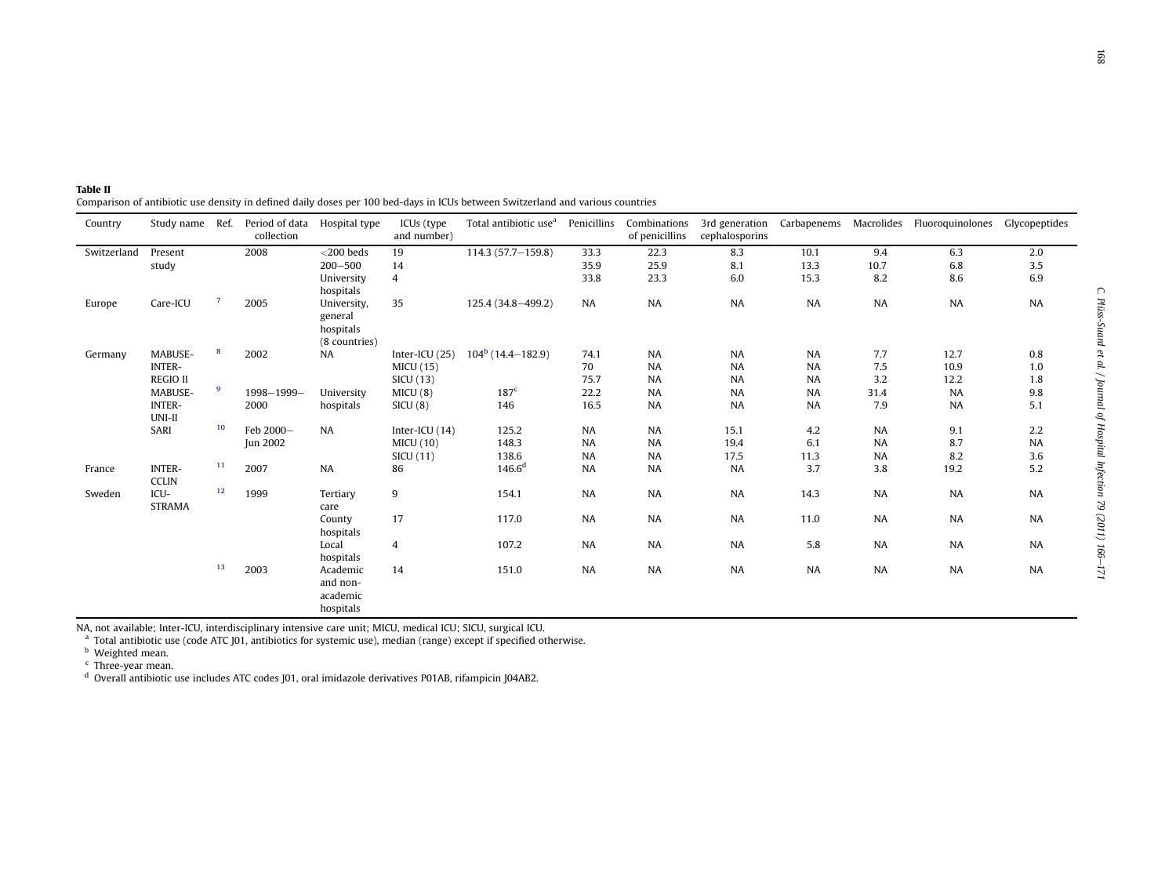| Country     | Study name Ref.               |                | Period of data<br>collection | Hospital type | ICUs (type<br>and number) | Total antibiotic use <sup>a</sup> | Penicillins | Combinations<br>of penicillins | 3rd generation<br>cephalosporins |           |           | Carbapenems Macrolides Fluoroquinolones | Glycopeptides |
|-------------|-------------------------------|----------------|------------------------------|---------------|---------------------------|-----------------------------------|-------------|--------------------------------|----------------------------------|-----------|-----------|-----------------------------------------|---------------|
| Switzerland | Present                       |                | 2008                         | $<$ 200 beds  | 19                        | $114.3(57.7-159.8)$               | 33.3        | 22.3                           | 8.3                              | 10.1      | 9.4       | 6.3                                     | 2.0           |
|             | study                         |                |                              | $200 - 500$   | 14                        |                                   | 35.9        | 25.9                           | 8.1                              | 13.3      | 10.7      | 6.8                                     | 3.5           |
|             |                               |                |                              | University    | $\overline{4}$            |                                   | 33.8        | 23.3                           | 6.0                              | 15.3      | 8.2       | 8.6                                     | 6.9           |
|             |                               |                |                              | hospitals     |                           |                                   |             |                                |                                  |           |           |                                         |               |
| Europe      | Care-ICU                      | $\overline{7}$ | 2005                         | University,   | 35                        | 125.4 (34.8-499.2)                | NA          | NA                             | NA                               | NA        | NA        | NA                                      | NA            |
|             |                               |                |                              | general       |                           |                                   |             |                                |                                  |           |           |                                         |               |
|             |                               |                |                              | hospitals     |                           |                                   |             |                                |                                  |           |           |                                         |               |
|             |                               |                |                              | (8 countries) |                           |                                   |             |                                |                                  |           |           |                                         |               |
| Germany     | MABUSE-                       | 8              | 2002                         | NA            | Inter-ICU $(25)$          | $104^b$ (14.4–182.9)              | 74.1        | NA                             | NA                               | NA        | 7.7       | 12.7                                    | 0.8           |
|             | <b>INTER-</b>                 |                |                              |               | <b>MICU</b> (15)          |                                   | 70          | <b>NA</b>                      | <b>NA</b>                        | <b>NA</b> | 7.5       | 10.9                                    | 1.0           |
|             | <b>REGIO II</b>               |                |                              |               | SICU (13)                 |                                   | 75.7        | NA                             | NA                               | NA        | 3.2       | 12.2                                    | 1.8           |
|             | MABUSE-                       | -9             | 1998-1999-                   | University    | MICU(8)                   | 187 <sup>c</sup>                  | 22.2        | NA                             | NA                               | NA        | 31.4      | NA                                      | $9.8\,$       |
|             | <b>INTER-</b>                 |                | 2000                         | hospitals     | SICU(8)                   | 146                               | 16.5        | NA                             | <b>NA</b>                        | <b>NA</b> | 7.9       | NA                                      | 5.1           |
|             | UNI-II                        |                |                              |               |                           |                                   |             |                                |                                  |           |           |                                         |               |
|             | SARI                          | 10             | Feb 2000-                    | NA            | Inter-ICU $(14)$          | 125.2                             | <b>NA</b>   | NA                             | 15.1                             | 4.2       | NA        | 9.1                                     | 2.2           |
|             |                               |                | Jun 2002                     |               | <b>MICU</b> (10)          | 148.3                             | <b>NA</b>   | <b>NA</b>                      | 19.4                             | 6.1       | <b>NA</b> | 8.7                                     | <b>NA</b>     |
|             |                               |                |                              |               | SICU(11)                  | 138.6                             | NA          | NA                             | 17.5                             | 11.3      | NA        | 8.2                                     | $3.6\,$       |
| France      | <b>INTER-</b><br><b>CCLIN</b> | 11             | 2007                         | NA            | 86                        | $146.6^{d}$                       | NA          | NA                             | <b>NA</b>                        | 3.7       | 3.8       | 19.2                                    | $5.2\,$       |
| Sweden      | $ICU-$                        | 12             | 1999                         | Tertiary      | 9                         | 154.1                             | <b>NA</b>   | NA                             | NA                               | 14.3      | <b>NA</b> | NA                                      | NA            |
|             | <b>STRAMA</b>                 |                |                              | care          |                           |                                   |             |                                |                                  |           |           |                                         |               |
|             |                               |                |                              | County        | 17                        | 117.0                             | <b>NA</b>   | NA                             | <b>NA</b>                        | 11.0      | <b>NA</b> | NA                                      | NA            |
|             |                               |                |                              | hospitals     |                           |                                   |             |                                |                                  |           |           |                                         |               |
|             |                               |                |                              | Local         | 4                         | 107.2                             | NA          | NA                             | <b>NA</b>                        | 5.8       | NA        | NA                                      | NA            |
|             |                               |                |                              | hospitals     |                           |                                   |             |                                |                                  |           |           |                                         |               |
|             |                               | 13             | 2003                         | Academic      | 14                        | 151.0                             | <b>NA</b>   | NA                             | <b>NA</b>                        | <b>NA</b> | NA        | NA                                      | <b>NA</b>     |
|             |                               |                |                              | and non-      |                           |                                   |             |                                |                                  |           |           |                                         |               |
|             |                               |                |                              | academic      |                           |                                   |             |                                |                                  |           |           |                                         |               |
|             |                               |                |                              | hospitals     |                           |                                   |             |                                |                                  |           |           |                                         |               |

<span id="page-2-0"></span>Table II Comparison of antibiotic use density in defined daily doses per 100 bed-days in ICUs between Switzerland and various countries

NA, not available; Inter-ICU, interdisciplinary intensive care unit; MICU, medical ICU; SICU, surgical ICU.

<sup>a</sup> Total antibiotic use (code ATC J01, antibiotics for systemic use), median (range) except if specified otherwise.<br><sup>b</sup> Weighted mean.<br><sup>c</sup> Three-year mean.<br><sup>d</sup> Overall antibiotic use includes ATC codes J01, oral imidazole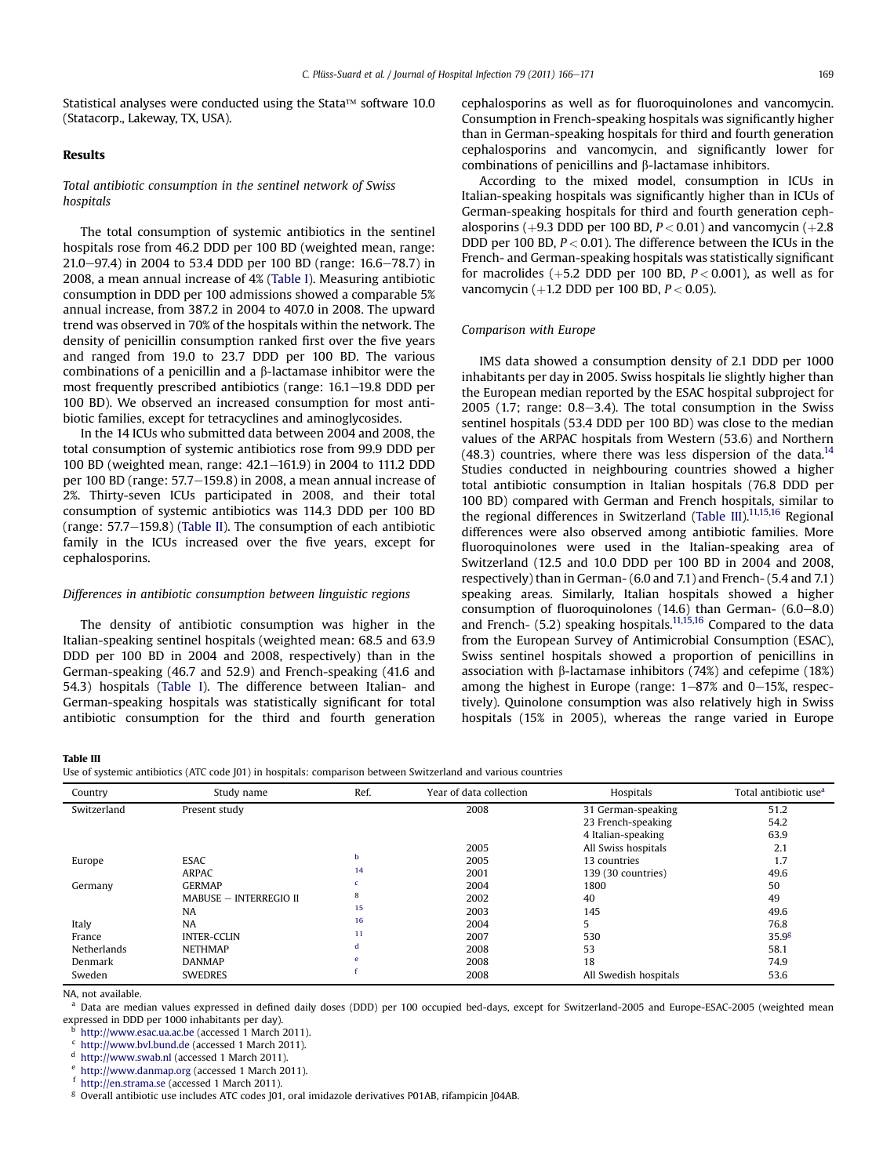Statistical analyses were conducted using the Stata<sup>TM</sup> software 10.0 (Statacorp., Lakeway, TX, USA).

## Results

Total antibiotic consumption in the sentinel network of Swiss hospitals

The total consumption of systemic antibiotics in the sentinel hospitals rose from 46.2 DDD per 100 BD (weighted mean, range: 21.0–97.4) in 2004 to 53.4 DDD per 100 BD (range:  $16.6-78.7$ ) in 2008, a mean annual increase of 4% [\(Table I](#page-1-0)). Measuring antibiotic consumption in DDD per 100 admissions showed a comparable 5% annual increase, from 387.2 in 2004 to 407.0 in 2008. The upward trend was observed in 70% of the hospitals within the network. The density of penicillin consumption ranked first over the five years and ranged from 19.0 to 23.7 DDD per 100 BD. The various combinations of a penicillin and a  $\beta$ -lactamase inhibitor were the most frequently prescribed antibiotics (range:  $16.1-19.8$  DDD per 100 BD). We observed an increased consumption for most antibiotic families, except for tetracyclines and aminoglycosides.

In the 14 ICUs who submitted data between 2004 and 2008, the total consumption of systemic antibiotics rose from 99.9 DDD per 100 BD (weighted mean, range: 42.1–161.9) in 2004 to 111.2 DDD per 100 BD (range:  $57.7-159.8$ ) in 2008, a mean annual increase of 2%. Thirty-seven ICUs participated in 2008, and their total consumption of systemic antibiotics was 114.3 DDD per 100 BD (range:  $57.7-159.8$ ) ([Table II\)](#page-2-0). The consumption of each antibiotic family in the ICUs increased over the five years, except for cephalosporins.

#### Differences in antibiotic consumption between linguistic regions

The density of antibiotic consumption was higher in the Italian-speaking sentinel hospitals (weighted mean: 68.5 and 63.9 DDD per 100 BD in 2004 and 2008, respectively) than in the German-speaking (46.7 and 52.9) and French-speaking (41.6 and 54.3) hospitals [\(Table I\)](#page-1-0). The difference between Italian- and German-speaking hospitals was statistically significant for total antibiotic consumption for the third and fourth generation cephalosporins as well as for fluoroquinolones and vancomycin. Consumption in French-speaking hospitals was significantly higher than in German-speaking hospitals for third and fourth generation cephalosporins and vancomycin, and significantly lower for combinations of penicillins and  $\beta$ -lactamase inhibitors.

According to the mixed model, consumption in ICUs in Italian-speaking hospitals was significantly higher than in ICUs of German-speaking hospitals for third and fourth generation cephalosporins ( $+9.3$  DDD per 100 BD,  $P < 0.01$ ) and vancomycin ( $+2.8$ ) DDD per 100 BD,  $P < 0.01$ ). The difference between the ICUs in the French- and German-speaking hospitals was statistically significant for macrolides  $(+5.2$  DDD per 100 BD,  $P < 0.001$ ), as well as for vancomycin ( $+1.2$  DDD per 100 BD,  $P < 0.05$ ).

## Comparison with Europe

IMS data showed a consumption density of 2.1 DDD per 1000 inhabitants per day in 2005. Swiss hospitals lie slightly higher than the European median reported by the ESAC hospital subproject for 2005 (1.7; range:  $0.8-3.4$ ). The total consumption in the Swiss sentinel hospitals (53.4 DDD per 100 BD) was close to the median values of the ARPAC hospitals from Western (53.6) and Northern  $(48.3)$  countries, where there was less dispersion of the data.<sup>14</sup> Studies conducted in neighbouring countries showed a higher total antibiotic consumption in Italian hospitals (76.8 DDD per 100 BD) compared with German and French hospitals, similar to the regional differences in Switzerland (Table III).<sup>[11,15,16](#page-4-0)</sup> Regional differences were also observed among antibiotic families. More fluoroquinolones were used in the Italian-speaking area of Switzerland (12.5 and 10.0 DDD per 100 BD in 2004 and 2008, respectively) than in German- (6.0 and 7.1) and French- (5.4 and 7.1) speaking areas. Similarly, Italian hospitals showed a higher consumption of fluoroquinolones  $(14.6)$  than German-  $(6.0-8.0)$ and French-  $(5.2)$  speaking hospitals.<sup>[11,15,16](#page-4-0)</sup> Compared to the data from the European Survey of Antimicrobial Consumption (ESAC), Swiss sentinel hospitals showed a proportion of penicillins in association with  $\beta$ -lactamase inhibitors (74%) and cefepime (18%) among the highest in Europe (range:  $1-87%$  and  $0-15%$ , respectively). Quinolone consumption was also relatively high in Swiss hospitals (15% in 2005), whereas the range varied in Europe

#### Table III

Use of systemic antibiotics (ATC code J01) in hospitals: comparison between Switzerland and various countries

| Country     | Study name             | Ref. | Year of data collection | Hospitals             | Total antibiotic use <sup>a</sup> |
|-------------|------------------------|------|-------------------------|-----------------------|-----------------------------------|
| Switzerland | Present study          |      | 2008                    | 31 German-speaking    | 51.2                              |
|             |                        |      |                         | 23 French-speaking    | 54.2                              |
|             |                        |      |                         | 4 Italian-speaking    | 63.9                              |
|             |                        |      | 2005                    | All Swiss hospitals   | 2.1                               |
| Europe      | <b>ESAC</b>            | b    | 2005                    | 13 countries          | 1.7                               |
|             | <b>ARPAC</b>           | 14   | 2001                    | 139 (30 countries)    | 49.6                              |
| Germany     | <b>GERMAP</b>          | c    | 2004                    | 1800                  | 50                                |
|             | MABUSE - INTERREGIO II | 8    | 2002                    | 40                    | 49                                |
|             | <b>NA</b>              | 15   | 2003                    | 145                   | 49.6                              |
| Italy       | <b>NA</b>              | 16   | 2004                    | 5                     | 76.8                              |
| France      | <b>INTER-CCLIN</b>     | 11   | 2007                    | 530                   | $35.9^{g}$                        |
| Netherlands | <b>NETHMAP</b>         | d    | 2008                    | 53                    | 58.1                              |
| Denmark     | <b>DANMAP</b>          | e    | 2008                    | 18                    | 74.9                              |
| Sweden      | <b>SWEDRES</b>         |      | 2008                    | All Swedish hospitals | 53.6                              |

NA, not available.

Data are median values expressed in defined daily doses (DDD) per 100 occupied bed-days, except for Switzerland-2005 and Europe-ESAC-2005 (weighted mean expressed in DDD per 1000 inhabitants per day).

<sup>b</sup> <http://www.esac.ua.ac.be> (accessed 1 March 2011).

<http://www.bvl.bund.de> (accessed 1 March 2011).

<http://www.swab.nl> (accessed 1 March 2011).

<sup>e</sup> <http://www.danmap.org> (accessed 1 March 2011).

<http://en.strama.se> (accessed 1 March 2011).

<sup>g</sup> Overall antibiotic use includes ATC codes J01, oral imidazole derivatives P01AB, rifampicin J04AB.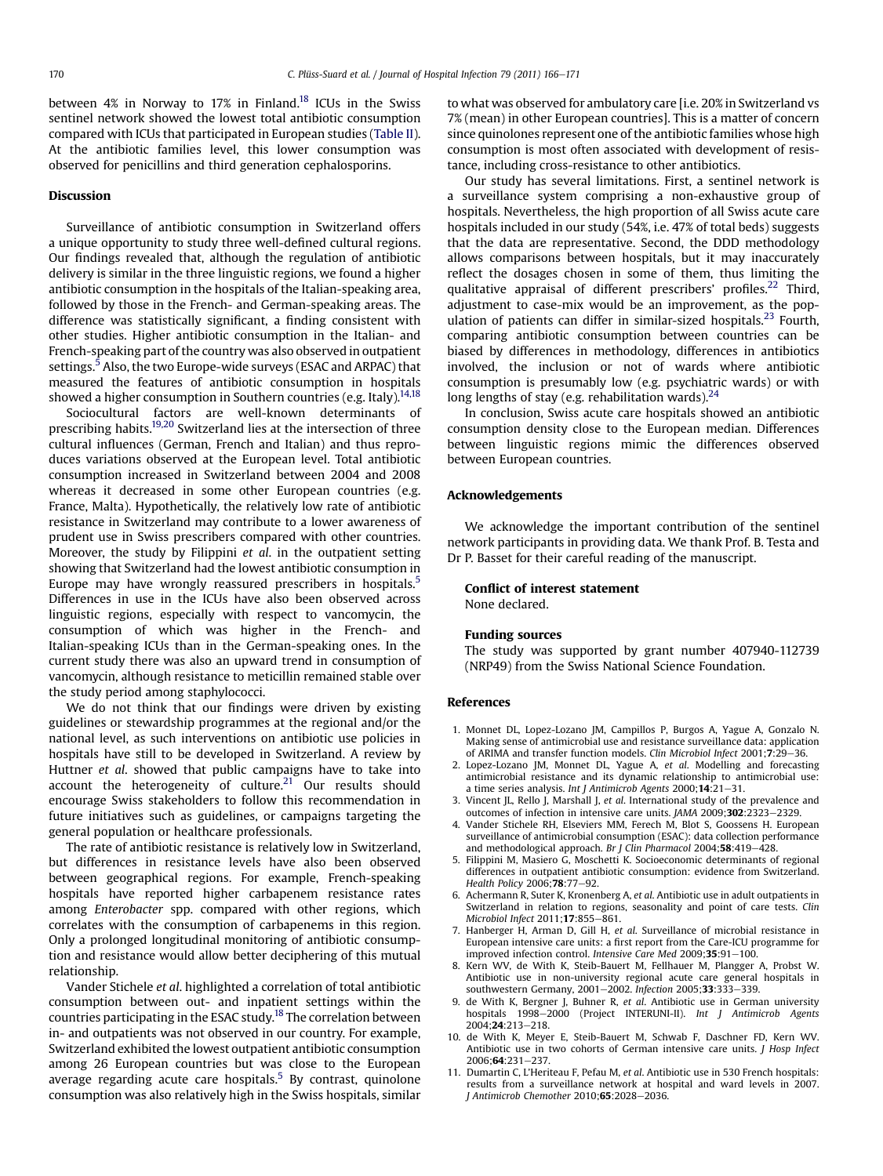<span id="page-4-0"></span>between  $4\%$  in Norway to 17% in Finland.<sup>18</sup> ICUs in the Swiss sentinel network showed the lowest total antibiotic consumption compared with ICUs that participated in European studies [\(Table II\)](#page-2-0). At the antibiotic families level, this lower consumption was observed for penicillins and third generation cephalosporins.

#### Discussion

Surveillance of antibiotic consumption in Switzerland offers a unique opportunity to study three well-defined cultural regions. Our findings revealed that, although the regulation of antibiotic delivery is similar in the three linguistic regions, we found a higher antibiotic consumption in the hospitals of the Italian-speaking area, followed by those in the French- and German-speaking areas. The difference was statistically significant, a finding consistent with other studies. Higher antibiotic consumption in the Italian- and French-speaking part of the country was also observed in outpatient settings.<sup>5</sup> Also, the two Europe-wide surveys (ESAC and ARPAC) that measured the features of antibiotic consumption in hospitals showed a higher consumption in Southern countries (e.g. Italy).<sup>[14,18](#page-5-0)</sup>

Sociocultural factors are well-known determinants of prescribing habits.[19,20](#page-5-0) Switzerland lies at the intersection of three cultural influences (German, French and Italian) and thus reproduces variations observed at the European level. Total antibiotic consumption increased in Switzerland between 2004 and 2008 whereas it decreased in some other European countries (e.g. France, Malta). Hypothetically, the relatively low rate of antibiotic resistance in Switzerland may contribute to a lower awareness of prudent use in Swiss prescribers compared with other countries. Moreover, the study by Filippini et al. in the outpatient setting showing that Switzerland had the lowest antibiotic consumption in Europe may have wrongly reassured prescribers in hospitals.<sup>5</sup> Differences in use in the ICUs have also been observed across linguistic regions, especially with respect to vancomycin, the consumption of which was higher in the French- and Italian-speaking ICUs than in the German-speaking ones. In the current study there was also an upward trend in consumption of vancomycin, although resistance to meticillin remained stable over the study period among staphylococci.

We do not think that our findings were driven by existing guidelines or stewardship programmes at the regional and/or the national level, as such interventions on antibiotic use policies in hospitals have still to be developed in Switzerland. A review by Huttner et al. showed that public campaigns have to take into account the heterogeneity of culture.<sup>[21](#page-5-0)</sup> Our results should encourage Swiss stakeholders to follow this recommendation in future initiatives such as guidelines, or campaigns targeting the general population or healthcare professionals.

The rate of antibiotic resistance is relatively low in Switzerland, but differences in resistance levels have also been observed between geographical regions. For example, French-speaking hospitals have reported higher carbapenem resistance rates among Enterobacter spp. compared with other regions, which correlates with the consumption of carbapenems in this region. Only a prolonged longitudinal monitoring of antibiotic consumption and resistance would allow better deciphering of this mutual relationship.

Vander Stichele et al. highlighted a correlation of total antibiotic consumption between out- and inpatient settings within the countries participating in the ESAC study[.18](#page-5-0) The correlation between in- and outpatients was not observed in our country. For example, Switzerland exhibited the lowest outpatient antibiotic consumption among 26 European countries but was close to the European average regarding acute care hospitals.<sup>5</sup> By contrast, quinolone consumption was also relatively high in the Swiss hospitals, similar to what was observed for ambulatory care [i.e. 20% in Switzerland vs 7% (mean) in other European countries]. This is a matter of concern since quinolones represent one of the antibiotic families whose high consumption is most often associated with development of resistance, including cross-resistance to other antibiotics.

Our study has several limitations. First, a sentinel network is a surveillance system comprising a non-exhaustive group of hospitals. Nevertheless, the high proportion of all Swiss acute care hospitals included in our study (54%, i.e. 47% of total beds) suggests that the data are representative. Second, the DDD methodology allows comparisons between hospitals, but it may inaccurately reflect the dosages chosen in some of them, thus limiting the qualitative appraisal of different prescribers' profiles.<sup>22</sup> Third, adjustment to case-mix would be an improvement, as the population of patients can differ in similar-sized hospitals.<sup>23</sup> Fourth, comparing antibiotic consumption between countries can be biased by differences in methodology, differences in antibiotics involved, the inclusion or not of wards where antibiotic consumption is presumably low (e.g. psychiatric wards) or with long lengths of stay (e.g. rehabilitation wards). $^{24}$ 

In conclusion, Swiss acute care hospitals showed an antibiotic consumption density close to the European median. Differences between linguistic regions mimic the differences observed between European countries.

## Acknowledgements

We acknowledge the important contribution of the sentinel network participants in providing data. We thank Prof. B. Testa and Dr P. Basset for their careful reading of the manuscript.

## Conflict of interest statement

None declared.

#### Funding sources

The study was supported by grant number 407940-112739 (NRP49) from the Swiss National Science Foundation.

## References

- 1. Monnet DL, Lopez-Lozano JM, Campillos P, Burgos A, Yague A, Gonzalo N. Making sense of antimicrobial use and resistance surveillance data: application of ARIMA and transfer function models. Clin Microbiol Infect  $2001:7:29-36$ .
- Lopez-Lozano JM, Monnet DL, Yague A, et al. Modelling and forecasting antimicrobial resistance and its dynamic relationship to antimicrobial use: a time series analysis. Int J Antimicrob Agents  $2000; 14:21-31$ .
- 3. Vincent JL, Rello J, Marshall J, et al. International study of the prevalence and outcomes of infection in intensive care units. JAMA 2009;302:2323-2329.
- Vander Stichele RH, Elseviers MM, Ferech M, Blot S, Goossens H. European surveillance of antimicrobial consumption (ESAC): data collection performance and methodological approach. Br I Clin Pharmacol  $2004:58:419-428$
- 5. Filippini M, Masiero G, Moschetti K. Socioeconomic determinants of regional differences in outpatient antibiotic consumption: evidence from Switzerland. Health Policy 2006:78:77-92.
- 6. Achermann R, Suter K, Kronenberg A, et al. Antibiotic use in adult outpatients in Switzerland in relation to regions, seasonality and point of care tests. Clin Microbiol Infect 2011:17:855-861.
- 7. Hanberger H, Arman D, Gill H, et al. Surveillance of microbial resistance in European intensive care units: a first report from the Care-ICU programme for improved infection control. Intensive Care Med  $2009;35:91-100$ .
- 8. Kern WV, de With K, Steib-Bauert M, Fellhauer M, Plangger A, Probst W. Antibiotic use in non-university regional acute care general hospitals in southwestern Germany, 2001-2002. Infection 2005;33:333-339.
- de With K, Bergner J, Buhner R, et al. Antibiotic use in German university hospitals 1998-2000 (Project INTERUNI-II). Int J Antimicrob Agents 2004:24:213-218.
- 10. de With K, Meyer E, Steib-Bauert M, Schwab F, Daschner FD, Kern WV. Antibiotic use in two cohorts of German intensive care units. J Hosp Infect  $2006:64:231-237.$
- 11. Dumartin C, L'Heriteau F, Pefau M, et al. Antibiotic use in 530 French hospitals: results from a surveillance network at hospital and ward levels in 2007. J Antimicrob Chemother  $2010;65:2028-2036$ .